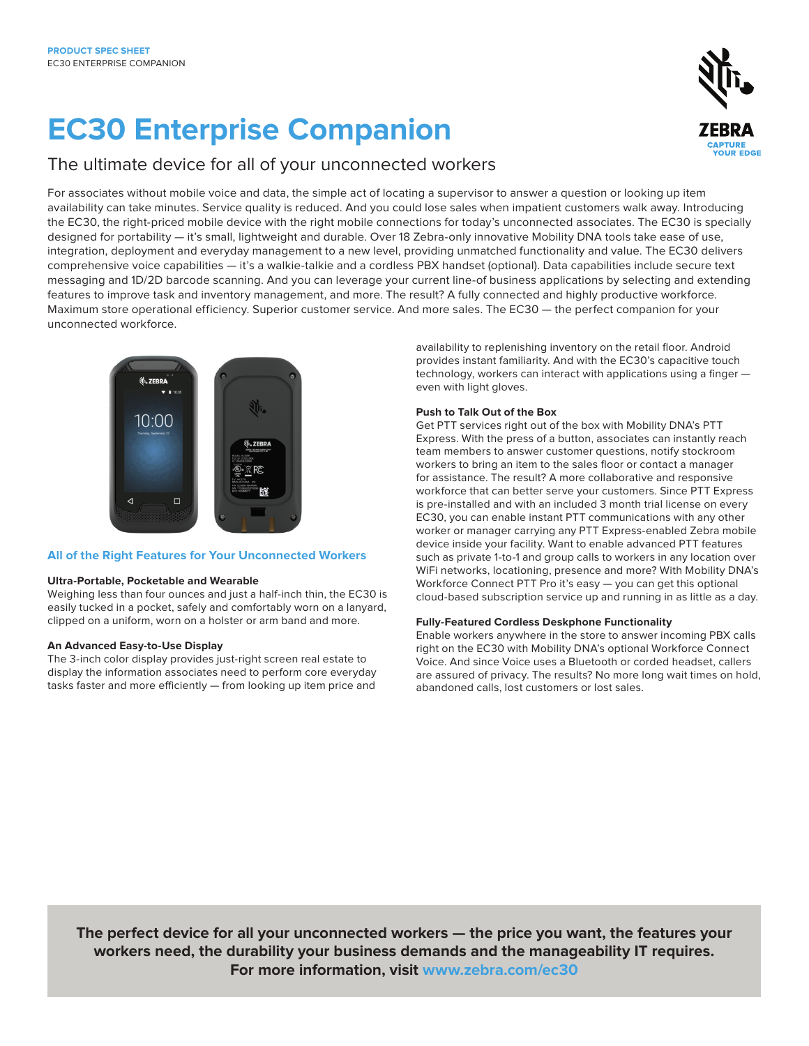# **EC30 Enterprise Companion**



### The ultimate device for all of your unconnected workers

For associates without mobile voice and data, the simple act of locating a supervisor to answer a question or looking up item availability can take minutes. Service quality is reduced. And you could lose sales when impatient customers walk away. Introducing the EC30, the right-priced mobile device with the right mobile connections for today's unconnected associates. The EC30 is specially designed for portability — it's small, lightweight and durable. Over 18 Zebra-only innovative Mobility DNA tools take ease of use, integration, deployment and everyday management to a new level, providing unmatched functionality and value. The EC30 delivers comprehensive voice capabilities — it's a walkie-talkie and a cordless PBX handset (optional). Data capabilities include secure text messaging and 1D/2D barcode scanning. And you can leverage your current line-of business applications by selecting and extending features to improve task and inventory management, and more. The result? A fully connected and highly productive workforce. Maximum store operational efficiency. Superior customer service. And more sales. The EC30 — the perfect companion for your unconnected workforce.



#### **All of the Right Features for Your Unconnected Workers**

#### **Ultra-Portable, Pocketable and Wearable**

Weighing less than four ounces and just a half-inch thin, the EC30 is easily tucked in a pocket, safely and comfortably worn on a lanyard, clipped on a uniform, worn on a holster or arm band and more.

#### **An Advanced Easy-to-Use Display**

The 3-inch color display provides just-right screen real estate to display the information associates need to perform core everyday tasks faster and more efficiently — from looking up item price and

availability to replenishing inventory on the retail floor. Android provides instant familiarity. And with the EC30's capacitive touch technology, workers can interact with applications using a finger even with light gloves.

#### **Push to Talk Out of the Box**

Get PTT services right out of the box with Mobility DNA's PTT Express. With the press of a button, associates can instantly reach team members to answer customer questions, notify stockroom workers to bring an item to the sales floor or contact a manager for assistance. The result? A more collaborative and responsive workforce that can better serve your customers. Since PTT Express is pre-installed and with an included 3 month trial license on every EC30, you can enable instant PTT communications with any other worker or manager carrying any PTT Express-enabled Zebra mobile device inside your facility. Want to enable advanced PTT features such as private 1-to-1 and group calls to workers in any location over WiFi networks, locationing, presence and more? With Mobility DNA's Workforce Connect PTT Pro it's easy — you can get this optional cloud-based subscription service up and running in as little as a day.

#### **Fully-Featured Cordless Deskphone Functionality**

Enable workers anywhere in the store to answer incoming PBX calls right on the EC30 with Mobility DNA's optional Workforce Connect Voice. And since Voice uses a Bluetooth or corded headset, callers are assured of privacy. The results? No more long wait times on hold, abandoned calls, lost customers or lost sales.

**The perfect device for all your unconnected workers — the price you want, the features your workers need, the durability your business demands and the manageability IT requires. For more information, visit www.zebra.com/ec30**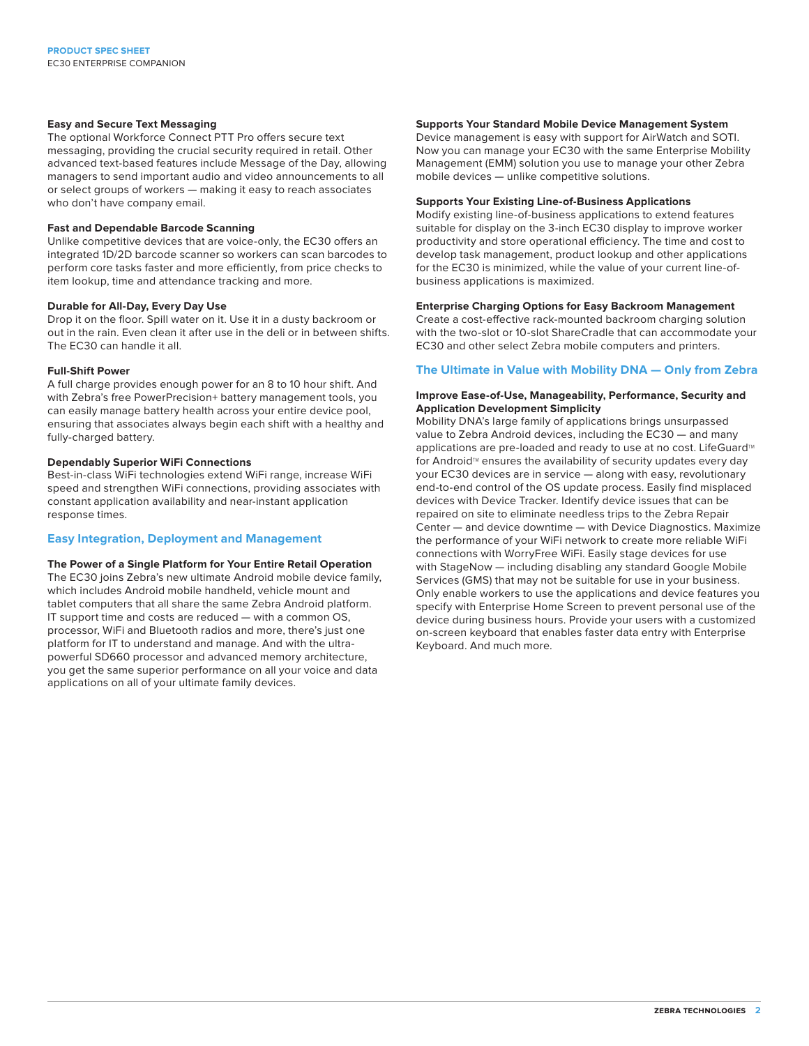#### **Easy and Secure Text Messaging**

The optional Workforce Connect PTT Pro offers secure text messaging, providing the crucial security required in retail. Other advanced text-based features include Message of the Day, allowing managers to send important audio and video announcements to all or select groups of workers — making it easy to reach associates who don't have company email.

#### **Fast and Dependable Barcode Scanning**

Unlike competitive devices that are voice-only, the EC30 offers an integrated 1D/2D barcode scanner so workers can scan barcodes to perform core tasks faster and more efficiently, from price checks to item lookup, time and attendance tracking and more.

#### **Durable for All-Day, Every Day Use**

Drop it on the floor. Spill water on it. Use it in a dusty backroom or out in the rain. Even clean it after use in the deli or in between shifts. The EC30 can handle it all.

#### **Full-Shift Power**

A full charge provides enough power for an 8 to 10 hour shift. And with Zebra's free PowerPrecision+ battery management tools, you can easily manage battery health across your entire device pool, ensuring that associates always begin each shift with a healthy and fully-charged battery.

#### **Dependably Superior WiFi Connections**

Best-in-class WiFi technologies extend WiFi range, increase WiFi speed and strengthen WiFi connections, providing associates with constant application availability and near-instant application response times.

#### **Easy Integration, Deployment and Management**

#### **The Power of a Single Platform for Your Entire Retail Operation**

The EC30 joins Zebra's new ultimate Android mobile device family, which includes Android mobile handheld, vehicle mount and tablet computers that all share the same Zebra Android platform. IT support time and costs are reduced — with a common OS, processor, WiFi and Bluetooth radios and more, there's just one platform for IT to understand and manage. And with the ultrapowerful SD660 processor and advanced memory architecture, you get the same superior performance on all your voice and data applications on all of your ultimate family devices.

#### **Supports Your Standard Mobile Device Management System**

Device management is easy with support for AirWatch and SOTI. Now you can manage your EC30 with the same Enterprise Mobility Management (EMM) solution you use to manage your other Zebra mobile devices — unlike competitive solutions.

#### **Supports Your Existing Line-of-Business Applications**

Modify existing line-of-business applications to extend features suitable for display on the 3-inch EC30 display to improve worker productivity and store operational efficiency. The time and cost to develop task management, product lookup and other applications for the EC30 is minimized, while the value of your current line-ofbusiness applications is maximized.

#### **Enterprise Charging Options for Easy Backroom Management**

Create a cost-effective rack-mounted backroom charging solution with the two-slot or 10-slot ShareCradle that can accommodate your EC30 and other select Zebra mobile computers and printers.

#### **The Ultimate in Value with Mobility DNA — Only from Zebra**

#### **Improve Ease-of-Use, Manageability, Performance, Security and Application Development Simplicity**

Mobility DNA's large family of applications brings unsurpassed value to Zebra Android devices, including the EC30 — and many applications are pre-loaded and ready to use at no cost. LifeGuard™ for Android<sup>™</sup> ensures the availability of security updates every day your EC30 devices are in service — along with easy, revolutionary end-to-end control of the OS update process. Easily find misplaced devices with Device Tracker. Identify device issues that can be repaired on site to eliminate needless trips to the Zebra Repair Center — and device downtime — with Device Diagnostics. Maximize the performance of your WiFi network to create more reliable WiFi connections with WorryFree WiFi. Easily stage devices for use with StageNow — including disabling any standard Google Mobile Services (GMS) that may not be suitable for use in your business. Only enable workers to use the applications and device features you specify with Enterprise Home Screen to prevent personal use of the device during business hours. Provide your users with a customized on-screen keyboard that enables faster data entry with Enterprise Keyboard. And much more.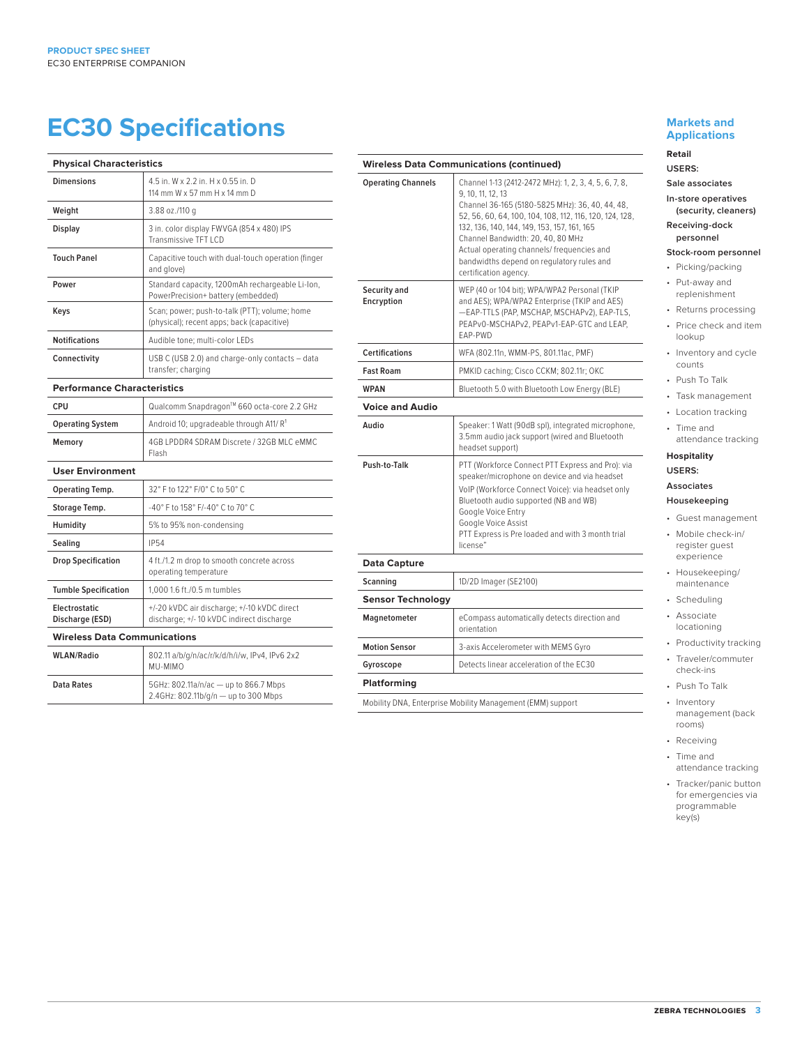## **EC30 Specifications**

| <b>Physical Characteristics</b>     |                                                                                             |
|-------------------------------------|---------------------------------------------------------------------------------------------|
| <b>Dimensions</b>                   | 4.5 in. W x 2.2 in. H x 0.55 in. D<br>114 mm W x 57 mm H x 14 mm D                          |
| Weight                              | 3.88 oz./110 g                                                                              |
| Display                             | 3 in. color display FWVGA (854 x 480) IPS<br>Transmissive TFT I CD                          |
| <b>Touch Panel</b>                  | Capacitive touch with dual-touch operation (finger<br>and glove)                            |
| Power                               | Standard capacity, 1200mAh rechargeable Li-lon,<br>PowerPrecision+ battery (embedded)       |
| Keys                                | Scan; power; push-to-talk (PTT); volume; home<br>(physical); recent apps; back (capacitive) |
| <b>Notifications</b>                | Audible tone: multi-color LEDs                                                              |
| Connectivity                        | USB C (USB 2.0) and charge-only contacts - data<br>transfer; charging                       |
| <b>Performance Characteristics</b>  |                                                                                             |
| CPU                                 | Qualcomm Snapdragon™ 660 octa-core 2.2 GHz                                                  |
| <b>Operating System</b>             | Android 10; upgradeable through A11/R <sup>1</sup>                                          |
| Memory                              | 4GB LPDDR4 SDRAM Discrete / 32GB MLC eMMC<br>Flash                                          |
| <b>User Environment</b>             |                                                                                             |
| Operating Temp.                     | 32° F to 122° F/0° C to 50° C                                                               |
| Storage Temp.                       | -40° F to 158° F/-40° C to 70° C                                                            |
| Humidity                            | 5% to 95% non-condensing                                                                    |
| Sealing                             | <b>IP54</b>                                                                                 |
| <b>Drop Specification</b>           | 4 ft./1.2 m drop to smooth concrete across<br>operating temperature                         |
| <b>Tumble Specification</b>         | 1.000 1.6 ft./0.5 m tumbles                                                                 |
| Electrostatic<br>Discharge (ESD)    | +/-20 kVDC air discharge; +/-10 kVDC direct<br>discharge; +/- 10 kVDC indirect discharge    |
| <b>Wireless Data Communications</b> |                                                                                             |
| <b>WLAN/Radio</b>                   | 802.11 a/b/g/n/ac/r/k/d/h/i/w, IPv4, IPv6 2x2<br>MU-MIMO                                    |

**Data Rates** 5GHz: 802.11a/n/ac — up to 866.7 Mbps

2.4GHz: 802.11b/g/n — up to 300 Mbps

|                            | <b>Wireless Data Communications (continued)</b>                                                                                                                                                                                                                                                                                                                                                  |
|----------------------------|--------------------------------------------------------------------------------------------------------------------------------------------------------------------------------------------------------------------------------------------------------------------------------------------------------------------------------------------------------------------------------------------------|
| <b>Operating Channels</b>  | Channel 1-13 (2412-2472 MHz): 1, 2, 3, 4, 5, 6, 7, 8,<br>9, 10, 11, 12, 13<br>Channel 36-165 (5180-5825 MHz): 36, 40, 44, 48,<br>52, 56, 60, 64, 100, 104, 108, 112, 116, 120, 124, 128,<br>132, 136, 140, 144, 149, 153, 157, 161, 165<br>Channel Bandwidth: 20, 40, 80 MHz<br>Actual operating channels/ frequencies and<br>bandwidths depend on regulatory rules and<br>certification agency. |
| Security and<br>Encryption | WEP (40 or 104 bit); WPA/WPA2 Personal (TKIP<br>and AES); WPA/WPA2 Enterprise (TKIP and AES)<br>-EAP-TTLS (PAP, MSCHAP, MSCHAPv2), EAP-TLS,<br>PEAPv0-MSCHAPv2, PEAPv1-EAP-GTC and LEAP,<br>EAP-PWD                                                                                                                                                                                              |
| <b>Certifications</b>      | WFA (802.11n, WMM-PS, 801.11ac, PMF)                                                                                                                                                                                                                                                                                                                                                             |
| <b>Fast Roam</b>           | PMKID caching; Cisco CCKM; 802.11r; OKC                                                                                                                                                                                                                                                                                                                                                          |
| <b>WPAN</b>                | Bluetooth 5.0 with Bluetooth Low Energy (BLE)                                                                                                                                                                                                                                                                                                                                                    |
| <b>Voice and Audio</b>     |                                                                                                                                                                                                                                                                                                                                                                                                  |
| Audio                      | Speaker: 1 Watt (90dB spl), integrated microphone,<br>3.5mm audio jack support (wired and Bluetooth<br>headset support)                                                                                                                                                                                                                                                                          |
| Push-to-Talk               | PTT (Workforce Connect PTT Express and Pro): via<br>speaker/microphone on device and via headset<br>VoIP (Workforce Connect Voice): via headset only<br>Bluetooth audio supported (NB and WB)<br>Google Voice Entry<br>Google Voice Assist<br>PTT Express is Pre loaded and with 3 month trial<br>license"                                                                                       |
| <b>Data Capture</b>        |                                                                                                                                                                                                                                                                                                                                                                                                  |
| Scanning                   | 1D/2D Imager (SE2100)                                                                                                                                                                                                                                                                                                                                                                            |
| <b>Sensor Technology</b>   |                                                                                                                                                                                                                                                                                                                                                                                                  |
| Magnetometer               | eCompass automatically detects direction and<br>orientation                                                                                                                                                                                                                                                                                                                                      |
| <b>Motion Sensor</b>       | 3-axis Accelerometer with MEMS Gyro                                                                                                                                                                                                                                                                                                                                                              |
|                            | Detects linear acceleration of the EC30                                                                                                                                                                                                                                                                                                                                                          |
| Gyroscope                  |                                                                                                                                                                                                                                                                                                                                                                                                  |

#### **Markets and Applications**

**Retail USERS:**

#### **Sale associates**

**In-store operatives (security, cleaners)**

**Receiving-dock personnel**

#### **Stock-room personnel**

- Picking/packing
- Put-away and replenishment
- Returns processing
- Price check and item lookup
- Inventory and cycle counts
- Push To Talk
- Task management
- Location tracking
	- Time and
	- attendance tracking **Hospitality**

#### **USERS:**

#### **Associates**

#### **Housekeeping**

- Guest management
- Mobile check-in/ register guest
- experience • Housekeeping/ maintenance
- Scheduling
- Associate locationing
- Productivity tracking
- Traveler/commuter check-ins
- Push To Talk
- Inventory management (back rooms)
- Receiving
- Time and
- attendance tracking
- Tracker/panic button for emergencies via programmable key(s)